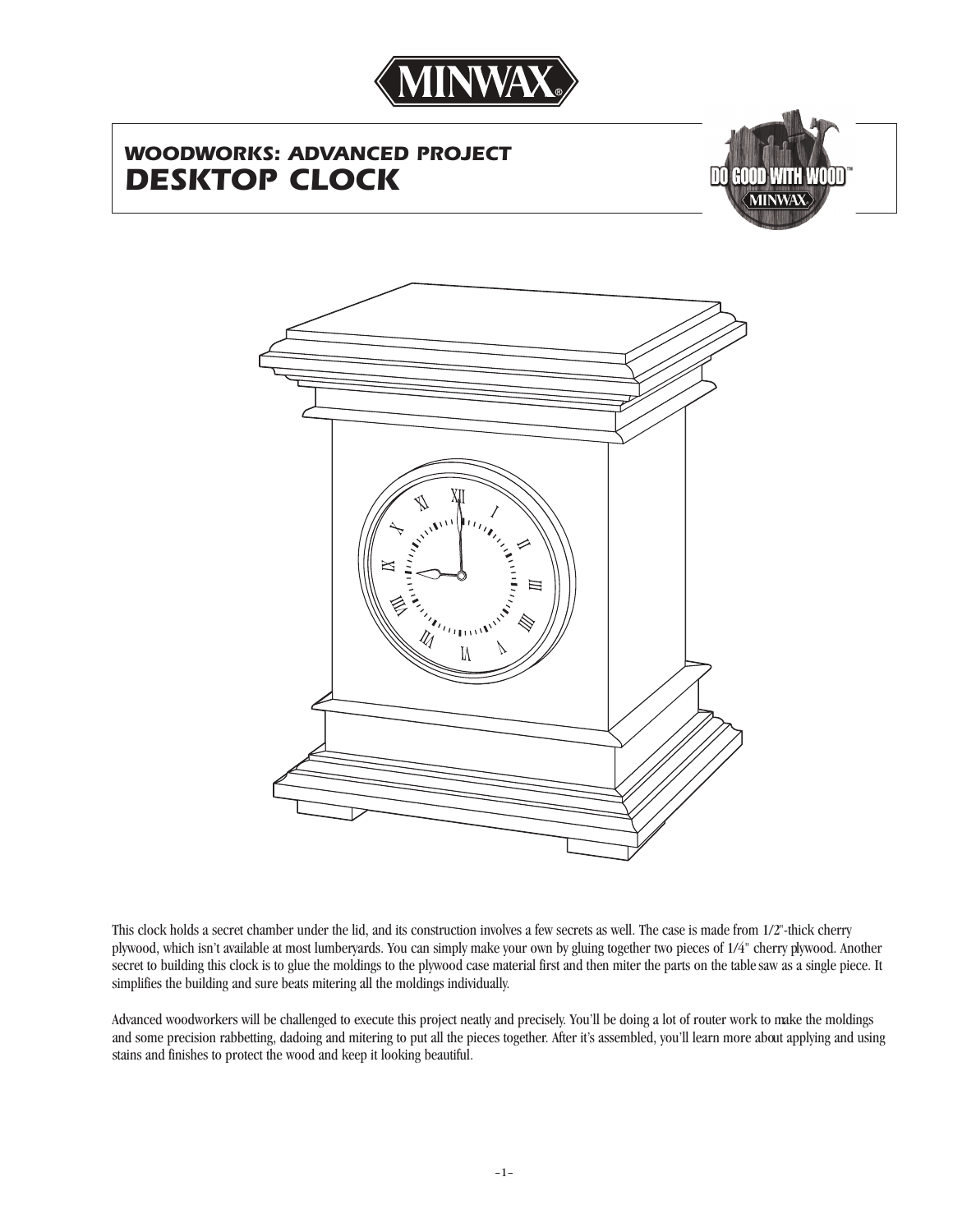

# *WOODWORKS: ADVANCED PROJECT DESKTOP CLOCK*





This clock holds a secret chamber under the lid, and its construction involves a few secrets as well. The case is made from 1/2"-thick cherry plywood, which isn't available at most lumberyards. You can simply make your own by gluing together two pieces of 1/4" cherry plywood. Another secret to building this clock is to glue the moldings to the plywood case material first and then miter the parts on the tablesaw as a single piece. It simplifies the building and sure beats mitering all the moldings individually.

Advanced woodworkers will be challenged to execute this project neatly and precisely. You'll be doing a lot of router work to make the moldings and some precision rabbetting, dadoing and mitering to put all the pieces together. After it's assembled, you'll learn more about applying and using stains and finishes to protect the wood and keep it looking beautiful.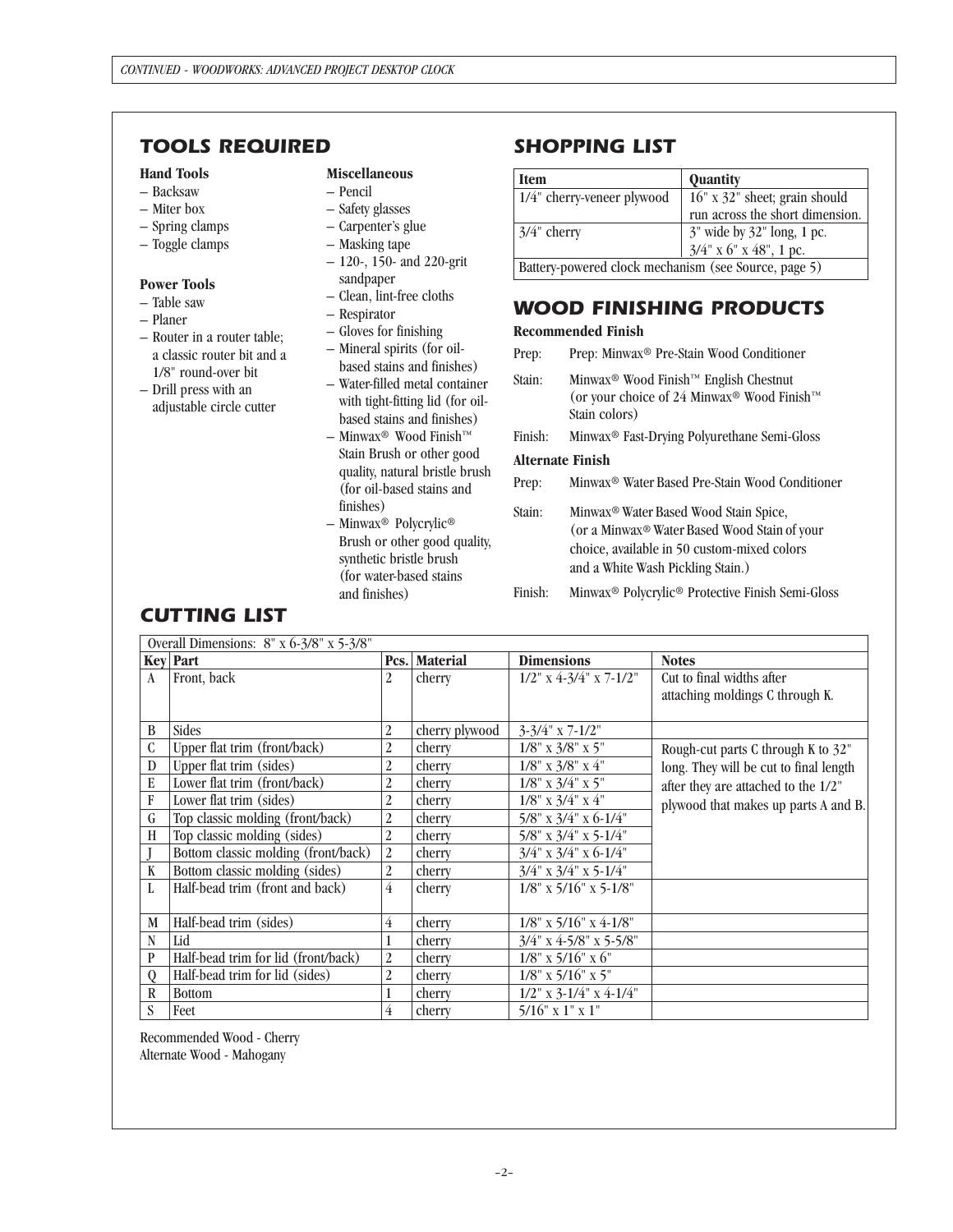# *TOOLS REQUIRED SHOPPING LIST*

### **Hand Tools**

- Backsaw
- Miter box
- Spring clamps
- Toggle clamps

### **Power Tools**

- Table saw
- Planer
- Router in a router table; a classic router bit and a 1/8" round-over bit
- Drill press with an adjustable circle cutter

### **Miscellaneous**

- Pencil
- Safety glasses
- Carpenter's glue
- Masking tape
- 120-, 150- and 220-grit sandpaper
- Clean, lint-free cloths
- Respirator
- Gloves for finishing
- Mineral spirits (for oilbased stains and finishes)
- Water-filled metal container with tight-fitting lid (for oilbased stains and finishes)
- $-$  Minwax<sup>®</sup> Wood Finish™ Stain Brush or other good quality, natural bristle brush (for oil-based stains and finishes)
- Minwax® Polycrylic® Brush or other good quality, synthetic bristle brush (for water-based stains and finishes)

| <b>Item</b>                                          | <b>Quantity</b>                                      |  |  |  |
|------------------------------------------------------|------------------------------------------------------|--|--|--|
| $1/4$ " cherry-veneer plywood                        | 16" x 32" sheet; grain should                        |  |  |  |
|                                                      | run across the short dimension.                      |  |  |  |
| $3/4$ " cherry                                       |                                                      |  |  |  |
|                                                      | 3" wide by 32" long, 1 pc.<br>3/4" x 6" x 48", 1 pc. |  |  |  |
| Battery-powered clock mechanism (see Source, page 5) |                                                      |  |  |  |

# *WOOD FINISHING PRODUCTS*

### **Recommended Finish**

- Prep: Prep: Minwax® Pre-Stain Wood Conditioner
- Stain: Minwax® Wood Finish™ English Chestnut (or your choice of 24 Minwax® Wood Finish™ Stain colors)
- Finish: Minwax® Fast-Drying Polyurethane Semi-Gloss

### **Alternate Finish**

- Prep: Minwax® Water Based Pre-Stain Wood Conditioner
- Stain: Minwax® Water Based Wood Stain Spice, (or a Minwax® Water Based Wood Stain of your choice, available in 50 custom-mixed colors and a White Wash Pickling Stain.)
- Finish: Minwax® Polycrylic® Protective Finish Semi-Gloss

### Overall Dimensions: 8" x 6-3/8" x 5-3/8"

|              | <b>Key Part</b>                     |                | Pcs. Material  | <b>Dimensions</b>               | <b>Notes</b>                           |
|--------------|-------------------------------------|----------------|----------------|---------------------------------|----------------------------------------|
| $\mathbf{A}$ | Front, back                         | 2              | cherry         | $1/2$ " x 4-3/4" x 7-1/2"       | Cut to final widths after              |
|              |                                     |                |                |                                 | attaching moldings C through K.        |
|              |                                     |                |                |                                 |                                        |
| B            | <b>Sides</b>                        | 2              | cherry plywood | $3-3/4$ " x 7-1/2"              |                                        |
| C            | Upper flat trim (front/back)        | 2              | cherry         | $1/8$ " x $3/8$ " x $5$ "       | Rough-cut parts C through K to 32"     |
| D            | Upper flat trim (sides)             | 2              | cherry         | $1/8$ " x $3/8$ " x $4$ "       | long. They will be cut to final length |
| E            | Lower flat trim (front/back)        | 2              | cherry         | $1/8$ " x $3/4$ " x $5$ "       | after they are attached to the 1/2"    |
| F            | Lower flat trim (sides)             | 2              | cherry         | $1/8$ " x $3/4$ " x $4$ "       | plywood that makes up parts A and B.   |
| $\mathsf{G}$ | Top classic molding (front/back)    | 2              | cherry         | 5/8" x 3/4" x 6-1/4"            |                                        |
| H            | Top classic molding (sides)         | 2              | cherry         | $5/8$ " x $3/4$ " x $5-1/4$ "   |                                        |
|              | Bottom classic molding (front/back) | 2              | cherry         | $3/4$ " x $3/4$ " x 6-1/4"      |                                        |
| K            | Bottom classic molding (sides)      | 2              | cherry         | $3/4$ " x $3/4$ " x $5-1/4$ "   |                                        |
| L            | Half-bead trim (front and back)     | $\overline{4}$ | cherry         | $1/8$ " x $5/16$ " x $5-1/8$ "  |                                        |
|              |                                     |                |                |                                 |                                        |
| M            | Half-bead trim (sides)              | $\overline{4}$ | cherry         | $1/8$ " x 5/16" x 4-1/8"        |                                        |
| N            | Lid                                 |                | cherry         | $3/4$ " x 4-5/8" x 5-5/8"       |                                        |
| $\mathbf{P}$ | Half-bead trim for lid (front/back) | 2              | cherry         | $1/8$ " x 5/16" x 6"            |                                        |
| $\theta$     | Half-bead trim for lid (sides)      | 2              | cherry         | $1/8$ " x 5/16" x 5"            |                                        |
| R            | <b>Bottom</b>                       |                | cherry         | $1/2$ " x $3-1/4$ " x $4-1/4$ " |                                        |
| S            | Feet                                | 4              | cherry         | $5/16$ " x 1" x 1"              |                                        |

Recommended Wood - Cherry Alternate Wood - Mahogany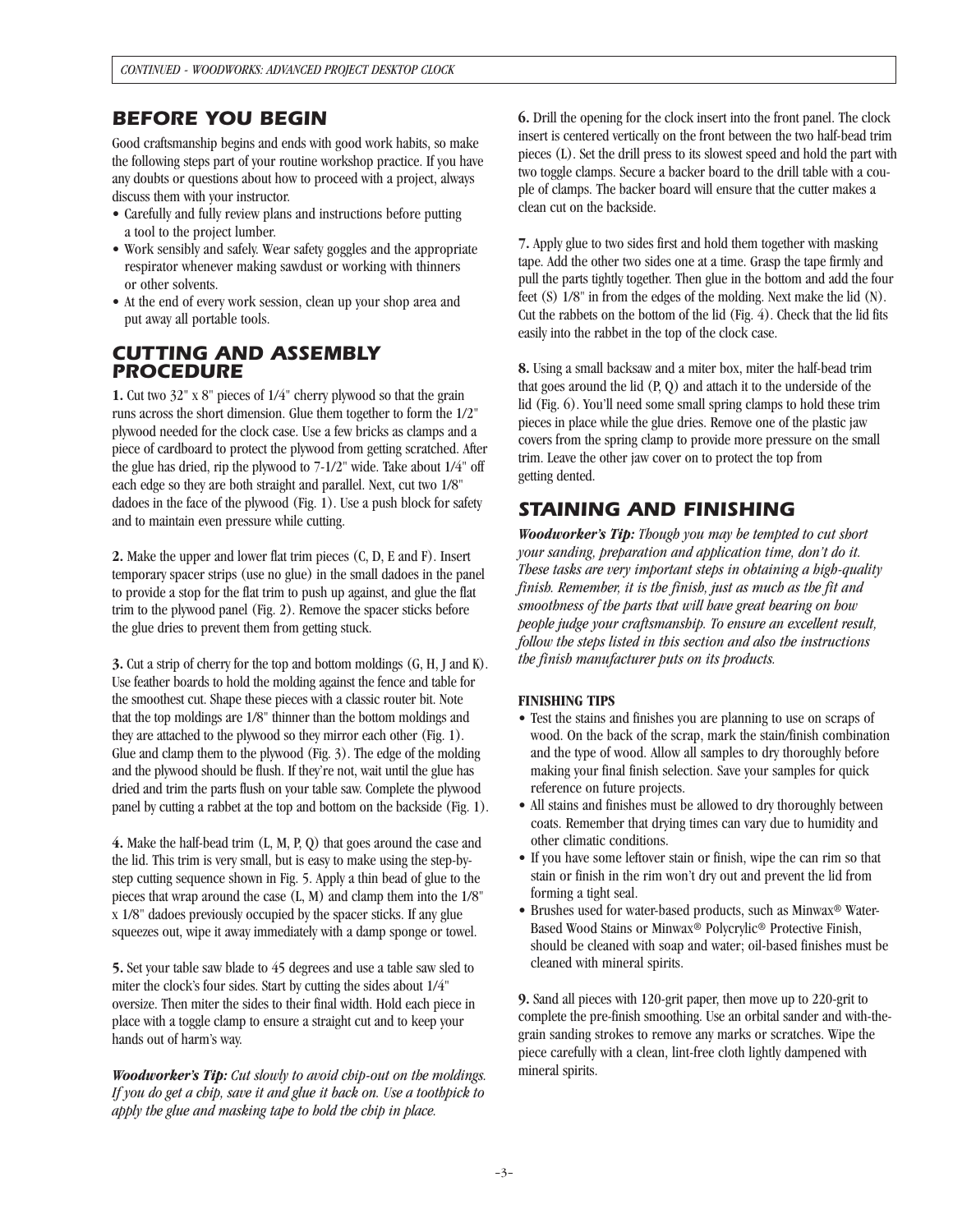### *BEFORE YOU BEGIN*

Good craftsmanship begins and ends with good work habits, so make the following steps part of your routine workshop practice. If you have any doubts or questions about how to proceed with a project, always discuss them with your instructor.

- Carefully and fully review plans and instructions before putting a tool to the project lumber.
- Work sensibly and safely. Wear safety goggles and the appropriate respirator whenever making sawdust or working with thinners or other solvents.
- At the end of every work session, clean up your shop area and put away all portable tools.

### *CUTTING AND ASSEMBLY PROCEDURE*

**1.** Cut two 32" x 8" pieces of 1/4" cherry plywood so that the grain runs across the short dimension. Glue them together to form the 1/2" plywood needed for the clock case. Use a few bricks as clamps and a piece of cardboard to protect the plywood from getting scratched. After the glue has dried, rip the plywood to 7-1/2" wide. Take about 1/4" off each edge so they are both straight and parallel. Next, cut two 1/8" dadoes in the face of the plywood (Fig. 1). Use a push block for safety and to maintain even pressure while cutting.

**2.** Make the upper and lower flat trim pieces (C, D, E and F). Insert temporary spacer strips (use no glue) in the small dadoes in the panel to provide a stop for the flat trim to push up against, and glue the flat trim to the plywood panel (Fig. 2). Remove the spacer sticks before the glue dries to prevent them from getting stuck.

**3.** Cut a strip of cherry for the top and bottom moldings (G, H, J and K). Use feather boards to hold the molding against the fence and table for the smoothest cut. Shape these pieces with a classic router bit. Note that the top moldings are 1/8" thinner than the bottom moldings and they are attached to the plywood so they mirror each other (Fig. 1). Glue and clamp them to the plywood (Fig. 3). The edge of the molding and the plywood should be flush. If they're not, wait until the glue has dried and trim the parts flush on your table saw. Complete the plywood panel by cutting a rabbet at the top and bottom on the backside (Fig. 1).

**4.** Make the half-bead trim (L, M, P, Q) that goes around the case and the lid. This trim is very small, but is easy to make using the step-bystep cutting sequence shown in Fig. 5. Apply a thin bead of glue to the pieces that wrap around the case (L, M) and clamp them into the 1/8" x 1/8" dadoes previously occupied by the spacer sticks. If any glue squeezes out, wipe it away immediately with a damp sponge or towel.

**5.** Set your table saw blade to 45 degrees and use a table saw sled to miter the clock's four sides. Start by cutting the sides about 1/4" oversize. Then miter the sides to their final width. Hold each piece in place with a toggle clamp to ensure a straight cut and to keep your hands out of harm's way.

*Woodworker's Tip: Cut slowly to avoid chip-out on the moldings. If you do get a chip, save it and glue it back on. Use a toothpick to apply the glue and masking tape to hold the chip in place.*

**6.** Drill the opening for the clock insert into the front panel. The clock insert is centered vertically on the front between the two half-bead trim pieces (L). Set the drill press to its slowest speed and hold the part with two toggle clamps. Secure a backer board to the drill table with a couple of clamps. The backer board will ensure that the cutter makes a clean cut on the backside.

**7.** Apply glue to two sides first and hold them together with masking tape. Add the other two sides one at a time. Grasp the tape firmly and pull the parts tightly together. Then glue in the bottom and add the four feet (S) 1/8" in from the edges of the molding. Next make the lid (N). Cut the rabbets on the bottom of the lid (Fig. 4). Check that the lid fits easily into the rabbet in the top of the clock case.

**8.** Using a small backsaw and a miter box, miter the half-bead trim that goes around the lid (P, Q) and attach it to the underside of the lid (Fig. 6). You'll need some small spring clamps to hold these trim pieces in place while the glue dries. Remove one of the plastic jaw covers from the spring clamp to provide more pressure on the small trim. Leave the other jaw cover on to protect the top from getting dented.

# *STAINING AND FINISHING*

*Woodworker's Tip: Though you may be tempted to cut short your sanding, preparation and application time, don't do it. These tasks are very important steps in obtaining a high-quality finish. Remember, it is the finish, just as much as the fit and smoothness of the parts that will have great bearing on how people judge your craftsmanship. To ensure an excellent result, follow the steps listed in this section and also the instructions the finish manufacturer puts on its products.*

### **FINISHING TIPS**

- Test the stains and finishes you are planning to use on scraps of wood. On the back of the scrap, mark the stain/finish combination and the type of wood. Allow all samples to dry thoroughly before making your final finish selection. Save your samples for quick reference on future projects.
- All stains and finishes must be allowed to dry thoroughly between coats. Remember that drying times can vary due to humidity and other climatic conditions.
- If you have some leftover stain or finish, wipe the can rim so that stain or finish in the rim won't dry out and prevent the lid from forming a tight seal.
- Brushes used for water-based products, such as Minwax® Water-Based Wood Stains or Minwax® Polycrylic® Protective Finish, should be cleaned with soap and water; oil-based finishes must be cleaned with mineral spirits.

**9.** Sand all pieces with 120-grit paper, then move up to 220-grit to complete the pre-finish smoothing. Use an orbital sander and with-thegrain sanding strokes to remove any marks or scratches. Wipe the piece carefully with a clean, lint-free cloth lightly dampened with mineral spirits.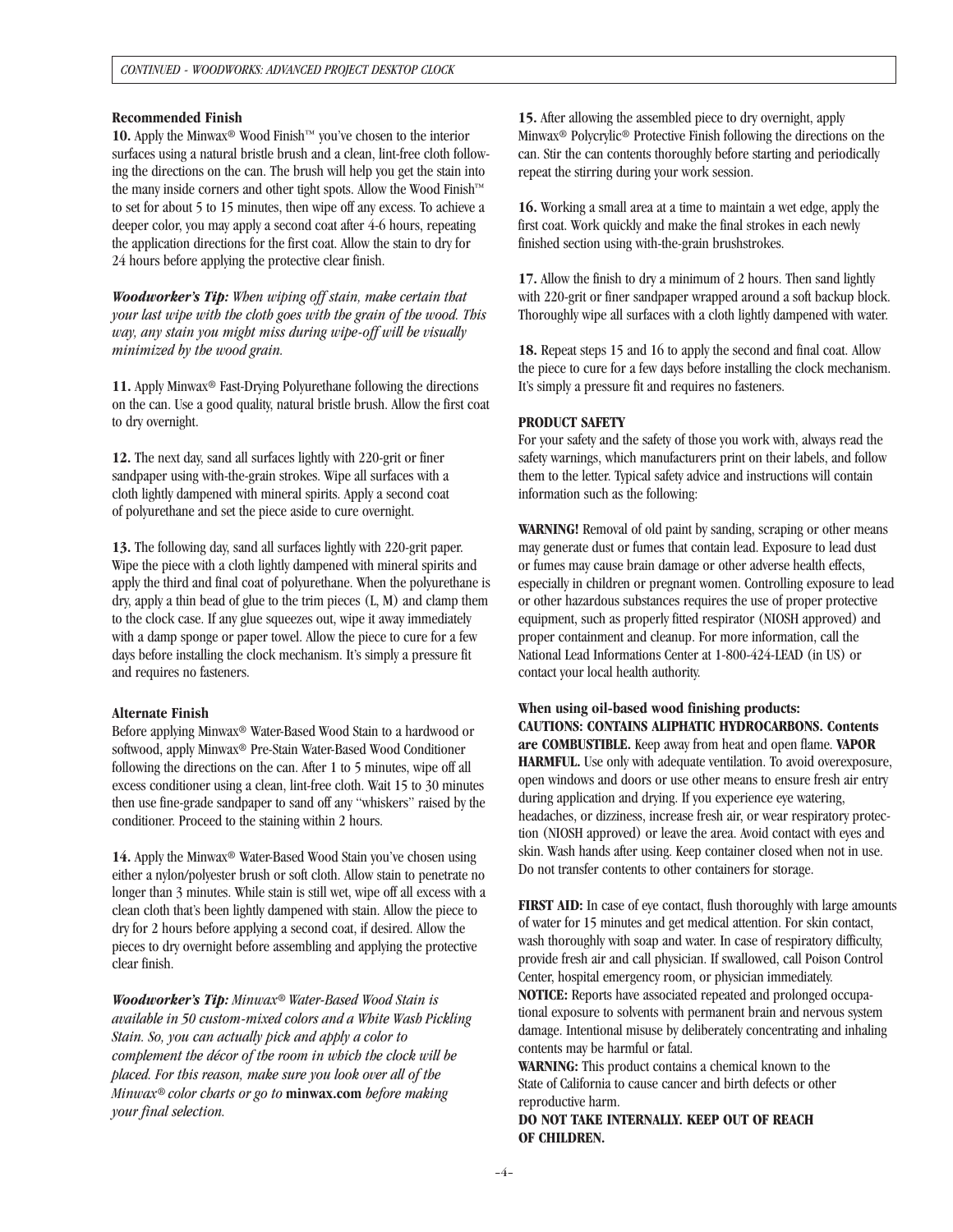#### **Recommended Finish**

**10.** Apply the Minwax® Wood Finish™ you've chosen to the interior surfaces using a natural bristle brush and a clean, lint-free cloth following the directions on the can. The brush will help you get the stain into the many inside corners and other tight spots. Allow the Wood Finish™ to set for about 5 to 15 minutes, then wipe off any excess. To achieve a deeper color, you may apply a second coat after 4-6 hours, repeating the application directions for the first coat. Allow the stain to dry for 24 hours before applying the protective clear finish.

*Woodworker's Tip: When wiping off stain, make certain that your last wipe with the cloth goes with the grain of the wood. This way, any stain you might miss during wipe-off will be visually minimized by the wood grain.*

**11.** Apply Minwax® Fast-Drying Polyurethane following the directions on the can. Use a good quality, natural bristle brush. Allow the first coat to dry overnight.

**12.** The next day, sand all surfaces lightly with 220-grit or finer sandpaper using with-the-grain strokes. Wipe all surfaces with a cloth lightly dampened with mineral spirits. Apply a second coat of polyurethane and set the piece aside to cure overnight.

**13.** The following day, sand all surfaces lightly with 220-grit paper. Wipe the piece with a cloth lightly dampened with mineral spirits and apply the third and final coat of polyurethane. When the polyurethane is dry, apply a thin bead of glue to the trim pieces (L, M) and clamp them to the clock case. If any glue squeezes out, wipe it away immediately with a damp sponge or paper towel. Allow the piece to cure for a few days before installing the clock mechanism. It's simply a pressure fit and requires no fasteners.

#### **Alternate Finish**

Before applying Minwax® Water-Based Wood Stain to a hardwood or softwood, apply Minwax® Pre-Stain Water-Based Wood Conditioner following the directions on the can. After 1 to 5 minutes, wipe off all excess conditioner using a clean, lint-free cloth. Wait 15 to 30 minutes then use fine-grade sandpaper to sand off any "whiskers" raised by the conditioner. Proceed to the staining within 2 hours.

**14.** Apply the Minwax® Water-Based Wood Stain you've chosen using either a nylon/polyester brush or soft cloth. Allow stain to penetrate no longer than 3 minutes. While stain is still wet, wipe off all excess with a clean cloth that's been lightly dampened with stain. Allow the piece to dry for 2 hours before applying a second coat, if desired. Allow the pieces to dry overnight before assembling and applying the protective clear finish.

*Woodworker's Tip: Minwax® Water-Based Wood Stain is available in 50 custom-mixed colors and a White Wash Pickling Stain. So, you can actually pick and apply a color to complement the décor of the room in which the clock will be placed. For this reason, make sure you look over all of the Minwax® color charts or go to* **minwax.com** *before making your final selection.*

**15.** After allowing the assembled piece to dry overnight, apply Minwax® Polycrylic® Protective Finish following the directions on the can. Stir the can contents thoroughly before starting and periodically repeat the stirring during your work session.

**16.** Working a small area at a time to maintain a wet edge, apply the first coat. Work quickly and make the final strokes in each newly finished section using with-the-grain brushstrokes.

**17.** Allow the finish to dry a minimum of 2 hours. Then sand lightly with 220-grit or finer sandpaper wrapped around a soft backup block. Thoroughly wipe all surfaces with a cloth lightly dampened with water.

**18.** Repeat steps 15 and 16 to apply the second and final coat. Allow the piece to cure for a few days before installing the clock mechanism. It's simply a pressure fit and requires no fasteners.

#### **PRODUCT SAFETY**

For your safety and the safety of those you work with, always read the safety warnings, which manufacturers print on their labels, and follow them to the letter. Typical safety advice and instructions will contain information such as the following:

**WARNING!** Removal of old paint by sanding, scraping or other means may generate dust or fumes that contain lead. Exposure to lead dust or fumes may cause brain damage or other adverse health effects, especially in children or pregnant women. Controlling exposure to lead or other hazardous substances requires the use of proper protective equipment, such as properly fitted respirator (NIOSH approved) and proper containment and cleanup. For more information, call the National Lead Informations Center at 1-800-424-LEAD (in US) or contact your local health authority.

**When using oil-based wood finishing products: CAUTIONS: CONTAINS ALIPHATIC HYDROCARBONS. Contents are COMBUSTIBLE.** Keep away from heat and open flame. **VAPOR HARMFUL.** Use only with adequate ventilation. To avoid overexposure, open windows and doors or use other means to ensure fresh air entry during application and drying. If you experience eye watering, headaches, or dizziness, increase fresh air, or wear respiratory protection (NIOSH approved) or leave the area. Avoid contact with eyes and skin. Wash hands after using. Keep container closed when not in use. Do not transfer contents to other containers for storage.

**FIRST AID:** In case of eye contact, flush thoroughly with large amounts of water for 15 minutes and get medical attention. For skin contact, wash thoroughly with soap and water. In case of respiratory difficulty, provide fresh air and call physician. If swallowed, call Poison Control Center, hospital emergency room, or physician immediately. **NOTICE:** Reports have associated repeated and prolonged occupational exposure to solvents with permanent brain and nervous system damage. Intentional misuse by deliberately concentrating and inhaling contents may be harmful or fatal.

**WARNING:** This product contains a chemical known to the State of California to cause cancer and birth defects or other reproductive harm.

**DO NOT TAKE INTERNALLY. KEEP OUT OF REACH OF CHILDREN.**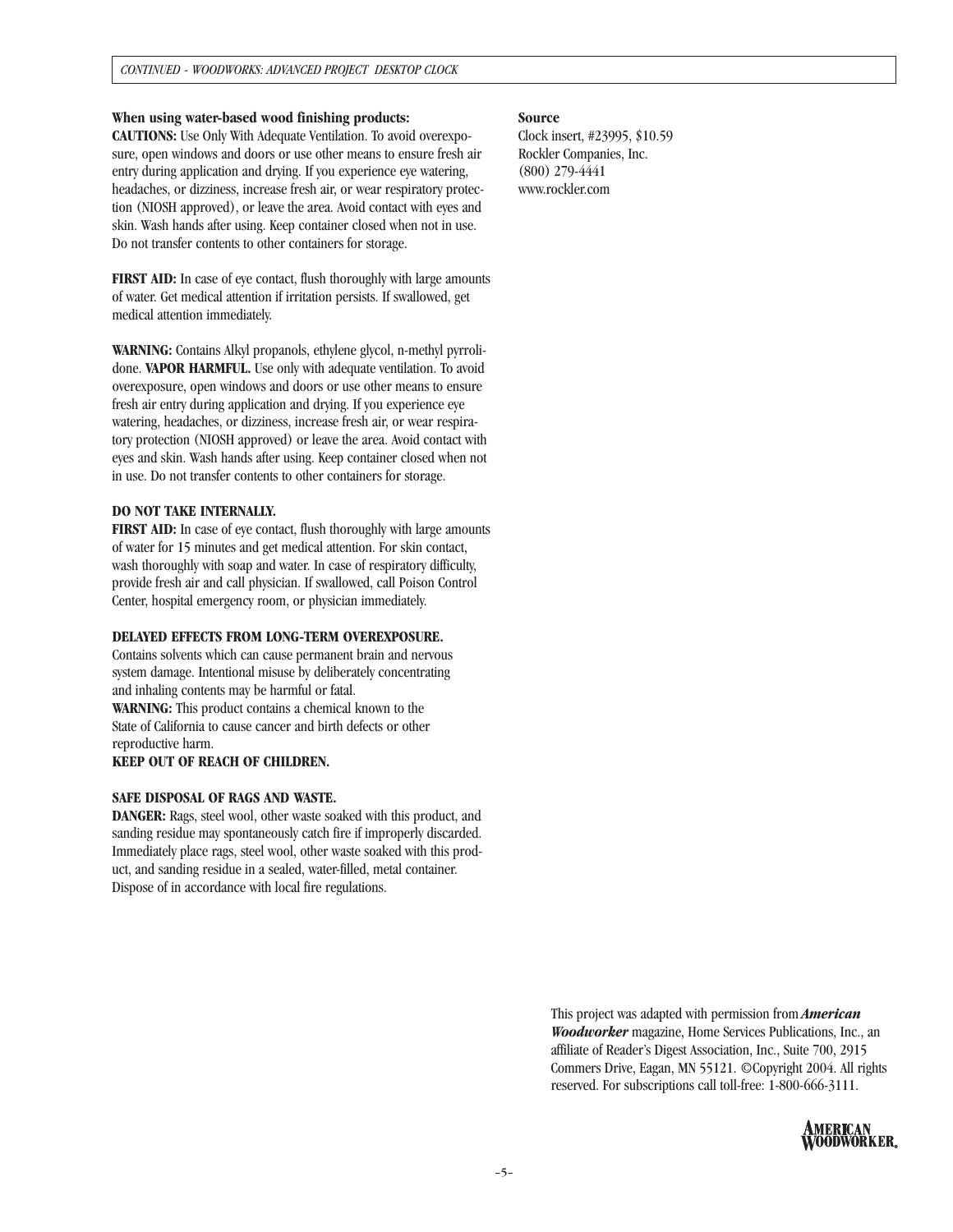#### **When using water-based wood finishing products:**

**CAUTIONS:** Use Only With Adequate Ventilation. To avoid overexposure, open windows and doors or use other means to ensure fresh air entry during application and drying. If you experience eye watering, headaches, or dizziness, increase fresh air, or wear respiratory protection (NIOSH approved), or leave the area. Avoid contact with eyes and skin. Wash hands after using. Keep container closed when not in use. Do not transfer contents to other containers for storage.

**FIRST AID:** In case of eye contact, flush thoroughly with large amounts of water. Get medical attention if irritation persists. If swallowed, get medical attention immediately.

**WARNING:** Contains Alkyl propanols, ethylene glycol, n-methyl pyrrolidone. **VAPOR HARMFUL.** Use only with adequate ventilation. To avoid overexposure, open windows and doors or use other means to ensure fresh air entry during application and drying. If you experience eye watering, headaches, or dizziness, increase fresh air, or wear respiratory protection (NIOSH approved) or leave the area. Avoid contact with eyes and skin. Wash hands after using. Keep container closed when not in use. Do not transfer contents to other containers for storage.

#### **DO NOT TAKE INTERNALLY.**

**FIRST AID:** In case of eye contact, flush thoroughly with large amounts of water for 15 minutes and get medical attention. For skin contact, wash thoroughly with soap and water. In case of respiratory difficulty, provide fresh air and call physician. If swallowed, call Poison Control Center, hospital emergency room, or physician immediately.

#### **DELAYED EFFECTS FROM LONG-TERM OVEREXPOSURE.**

Contains solvents which can cause permanent brain and nervous system damage. Intentional misuse by deliberately concentrating and inhaling contents may be harmful or fatal. **WARNING:** This product contains a chemical known to the State of California to cause cancer and birth defects or other reproductive harm.

**KEEP OUT OF REACH OF CHILDREN.**

#### **SAFE DISPOSAL OF RAGS AND WASTE.**

**DANGER:** Rags, steel wool, other waste soaked with this product, and sanding residue may spontaneously catch fire if improperly discarded. Immediately place rags, steel wool, other waste soaked with this product, and sanding residue in a sealed, water-filled, metal container. Dispose of in accordance with local fire regulations.

#### **Source**

Clock insert, #23995, \$10.59 Rockler Companies, Inc. (800) 279-4441 www.rockler.com

> This project was adapted with permission from *American Woodworker* magazine, Home Services Publications, Inc., an affiliate of Reader's Digest Association, Inc., Suite 700, 2915 Commers Drive, Eagan, MN 55121. ©Copyright 2004. All rights reserved. For subscriptions call toll-free: 1-800-666-3111.

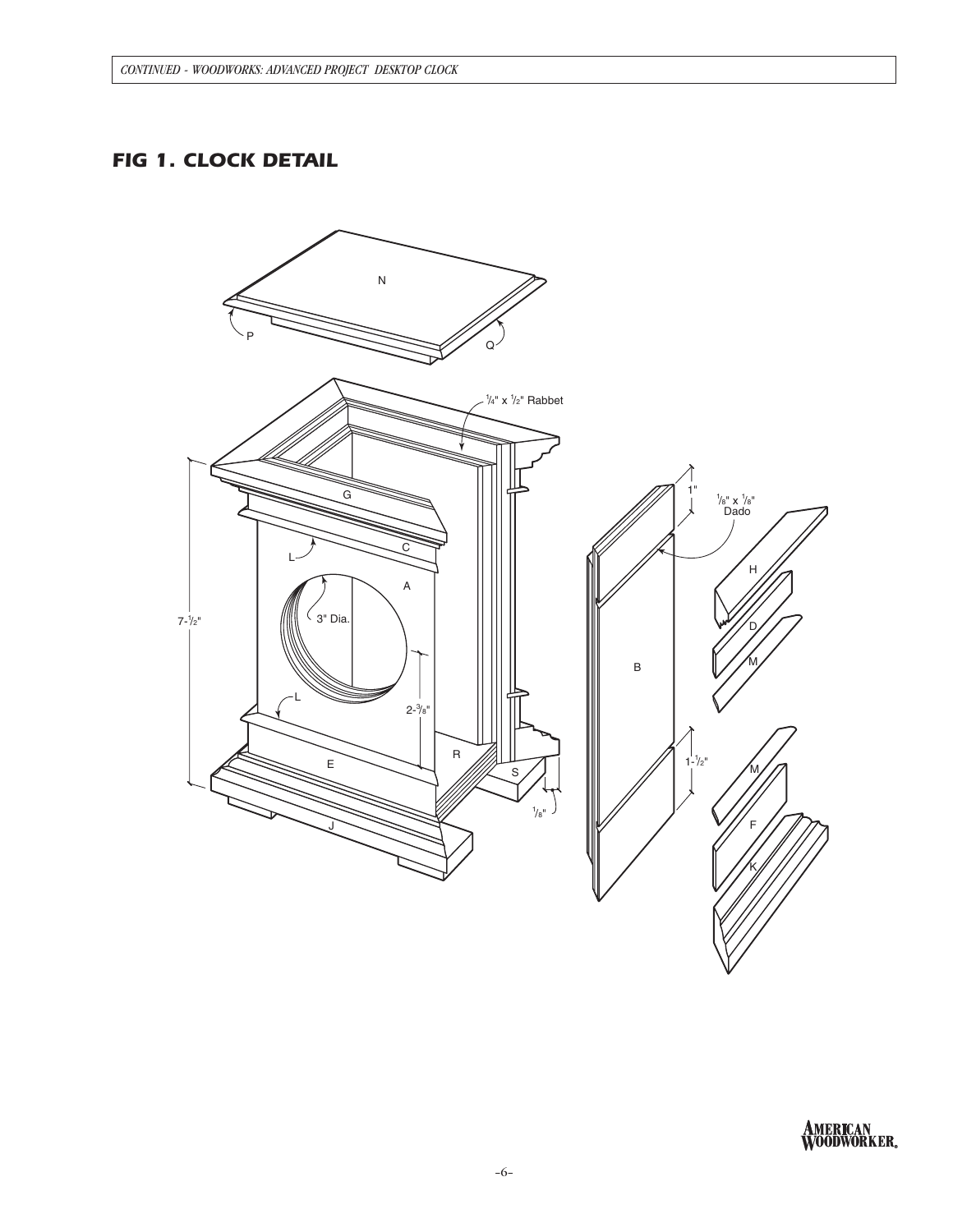# *FIG 1. CLOCK DETAIL*



**AMERICAN<br>WOODWORKER**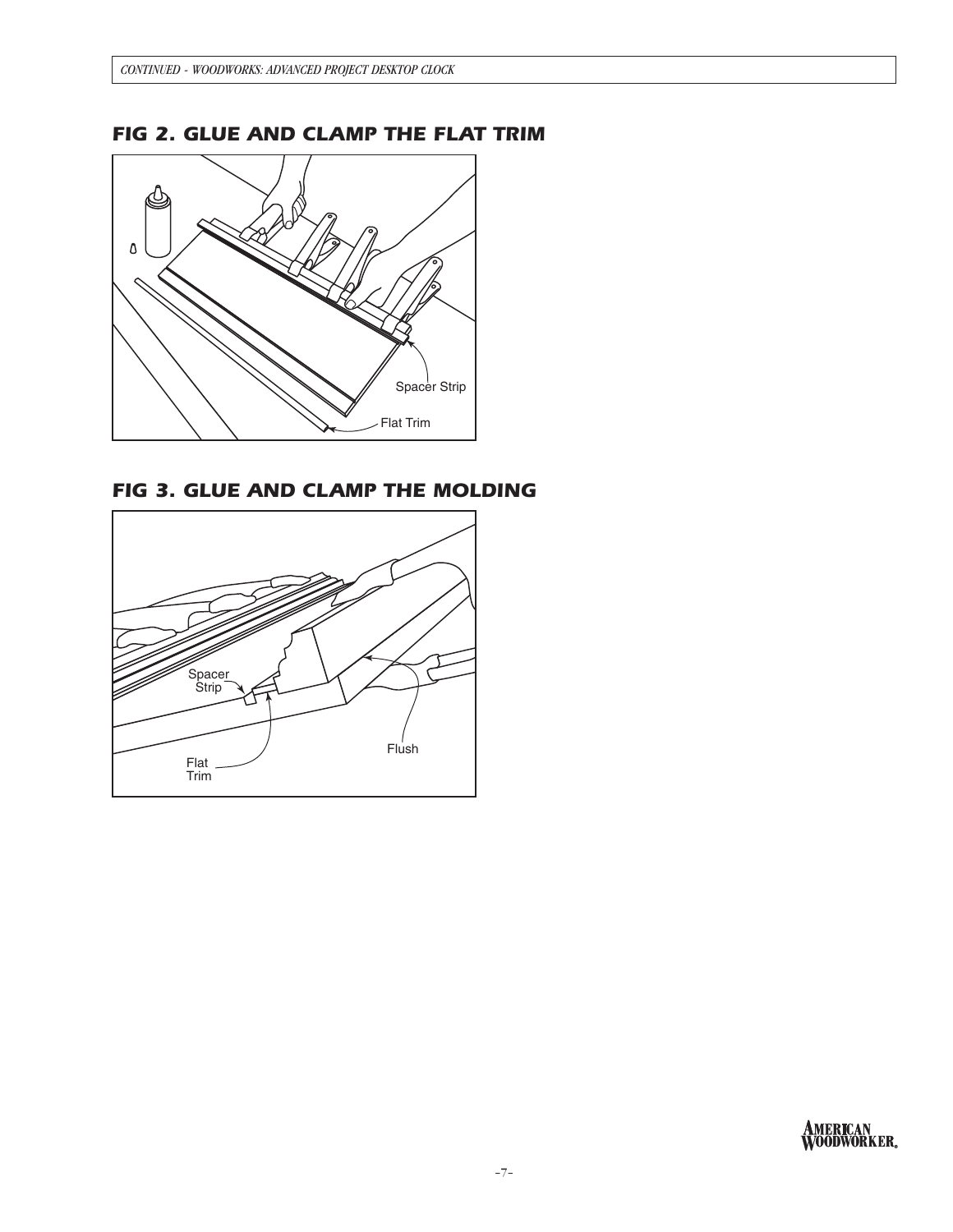

# *FIG 2. GLUE AND CLAMP THE FLAT TRIM*

*FIG 3. GLUE AND CLAMP THE MOLDING*